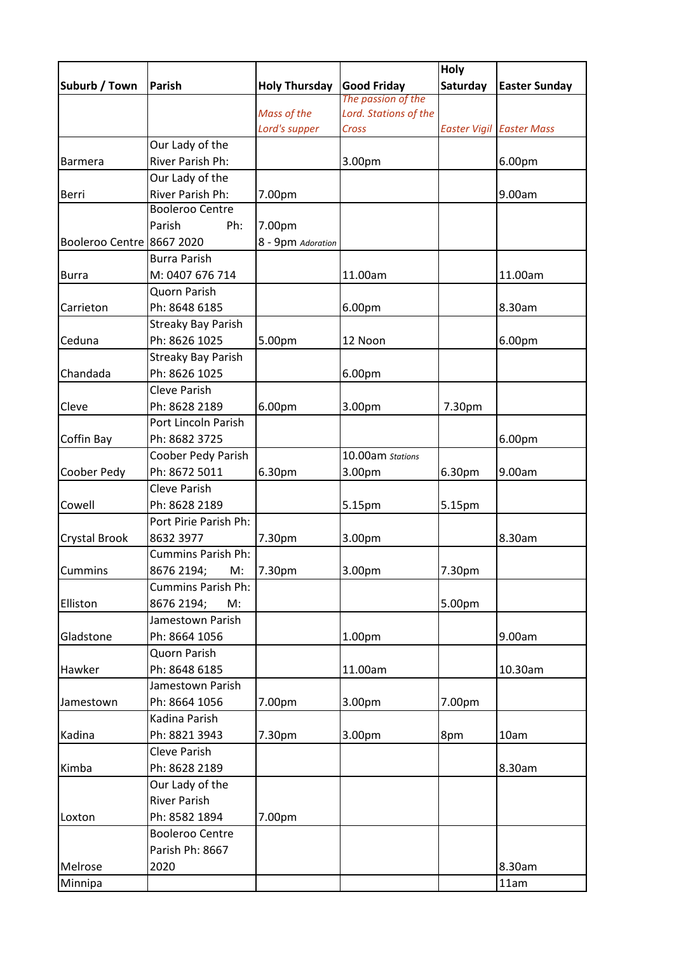|                           |                                            |                              |                                | Holy     |                                 |
|---------------------------|--------------------------------------------|------------------------------|--------------------------------|----------|---------------------------------|
| Suburb / Town             | Parish                                     | <b>Holy Thursday</b>         | <b>Good Friday</b>             | Saturday | <b>Easter Sunday</b>            |
|                           |                                            |                              | The passion of the             |          |                                 |
|                           |                                            | Mass of the<br>Lord's supper | Lord. Stations of the<br>Cross |          | <b>Easter Vigil Easter Mass</b> |
|                           |                                            |                              |                                |          |                                 |
|                           | Our Lady of the<br>River Parish Ph:        |                              |                                |          |                                 |
| <b>Barmera</b>            |                                            |                              | 3.00pm                         |          | 6.00pm                          |
|                           | Our Lady of the                            |                              |                                |          |                                 |
| Berri                     | River Parish Ph:<br><b>Booleroo Centre</b> | 7.00pm                       |                                |          | 9.00am                          |
|                           | Parish                                     |                              |                                |          |                                 |
|                           | Ph:                                        | 7.00pm                       |                                |          |                                 |
| Booleroo Centre 8667 2020 |                                            | 8 - 9pm Adoration            |                                |          |                                 |
|                           | <b>Burra Parish</b>                        |                              |                                |          |                                 |
| <b>Burra</b>              | M: 0407 676 714                            |                              | 11.00am                        |          | 11.00am                         |
|                           | Quorn Parish                               |                              |                                |          |                                 |
| Carrieton                 | Ph: 8648 6185                              |                              | 6.00pm                         |          | 8.30am                          |
|                           | <b>Streaky Bay Parish</b>                  |                              |                                |          |                                 |
| Ceduna                    | Ph: 8626 1025                              | 5.00pm                       | 12 Noon                        |          | 6.00pm                          |
|                           | <b>Streaky Bay Parish</b>                  |                              |                                |          |                                 |
| Chandada                  | Ph: 8626 1025                              |                              | 6.00pm                         |          |                                 |
|                           | Cleve Parish                               |                              |                                |          |                                 |
| Cleve                     | Ph: 8628 2189                              | 6.00pm                       | 3.00pm                         | 7.30pm   |                                 |
|                           | Port Lincoln Parish                        |                              |                                |          |                                 |
| Coffin Bay                | Ph: 8682 3725                              |                              |                                |          | 6.00pm                          |
|                           | Coober Pedy Parish                         |                              | 10.00am Stations               |          |                                 |
| Coober Pedy               | Ph: 8672 5011                              | 6.30pm                       | 3.00pm                         | 6.30pm   | 9.00am                          |
|                           | <b>Cleve Parish</b>                        |                              |                                |          |                                 |
| Cowell                    | Ph: 8628 2189                              |                              | 5.15pm                         | 5.15pm   |                                 |
|                           | Port Pirie Parish Ph:                      |                              |                                |          |                                 |
| <b>Crystal Brook</b>      | 8632 3977                                  | 7.30pm                       | 3.00pm                         |          | 8.30am                          |
|                           | <b>Cummins Parish Ph:</b>                  |                              |                                |          |                                 |
| Cummins                   | 8676 2194;<br>M:                           | 7.30pm                       | 3.00pm                         | 7.30pm   |                                 |
|                           | <b>Cummins Parish Ph:</b>                  |                              |                                |          |                                 |
| Elliston                  | 8676 2194;<br>M:                           |                              |                                | 5.00pm   |                                 |
|                           | Jamestown Parish                           |                              |                                |          |                                 |
| Gladstone                 | Ph: 8664 1056                              |                              | 1.00pm                         |          | 9.00am                          |
|                           | Quorn Parish                               |                              |                                |          |                                 |
| Hawker                    | Ph: 8648 6185                              |                              | 11.00am                        |          | 10.30am                         |
|                           | Jamestown Parish                           |                              |                                |          |                                 |
| Jamestown                 | Ph: 8664 1056                              | 7.00pm                       | 3.00pm                         | 7.00pm   |                                 |
|                           | Kadina Parish                              |                              |                                |          |                                 |
| Kadina                    | Ph: 8821 3943                              | 7.30pm                       | 3.00pm                         | 8pm      | 10am                            |
|                           | Cleve Parish                               |                              |                                |          |                                 |
| Kimba                     | Ph: 8628 2189                              |                              |                                |          | 8.30am                          |
|                           | Our Lady of the                            |                              |                                |          |                                 |
|                           | <b>River Parish</b>                        |                              |                                |          |                                 |
| Loxton                    | Ph: 8582 1894                              | 7.00pm                       |                                |          |                                 |
|                           | <b>Booleroo Centre</b>                     |                              |                                |          |                                 |
|                           | Parish Ph: 8667                            |                              |                                |          |                                 |
| Melrose                   | 2020                                       |                              |                                |          | 8.30am                          |
| Minnipa                   |                                            |                              |                                |          | 11am                            |
|                           |                                            |                              |                                |          |                                 |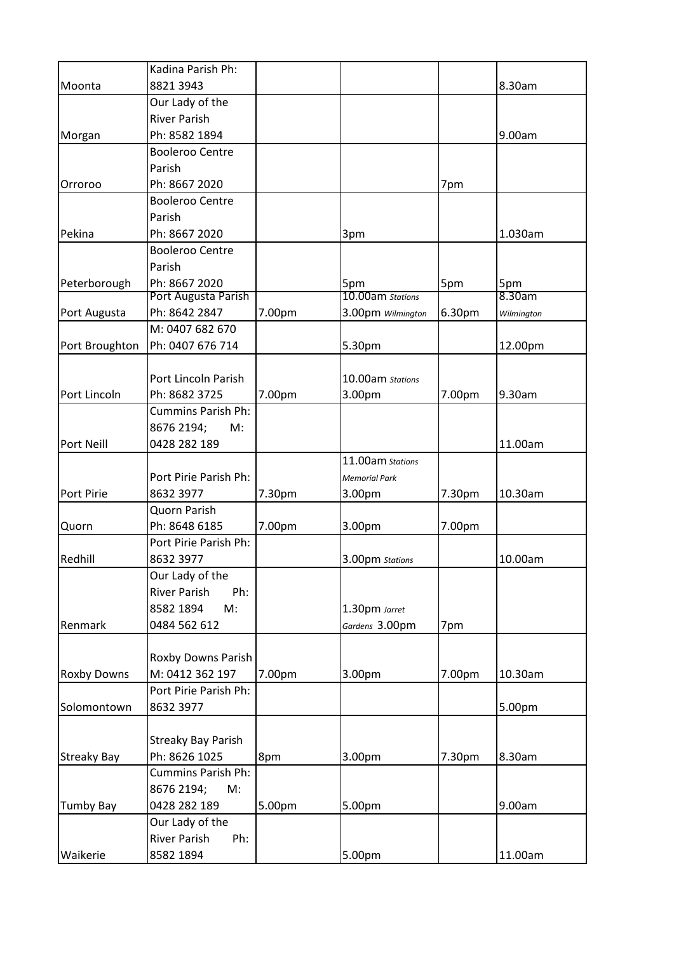|                    | Kadina Parish Ph:          |        |                      |        |            |
|--------------------|----------------------------|--------|----------------------|--------|------------|
| Moonta             | 8821 3943                  |        |                      |        | 8.30am     |
|                    | Our Lady of the            |        |                      |        |            |
|                    | <b>River Parish</b>        |        |                      |        |            |
| Morgan             | Ph: 8582 1894              |        |                      |        | 9.00am     |
|                    | <b>Booleroo Centre</b>     |        |                      |        |            |
|                    | Parish                     |        |                      |        |            |
| Orroroo            | Ph: 8667 2020              |        |                      | 7pm    |            |
|                    | <b>Booleroo Centre</b>     |        |                      |        |            |
|                    | Parish                     |        |                      |        |            |
| Pekina             | Ph: 8667 2020              |        | 3pm                  |        | 1.030am    |
|                    | <b>Booleroo Centre</b>     |        |                      |        |            |
|                    | Parish                     |        |                      |        |            |
| Peterborough       | Ph: 8667 2020              |        | 5pm                  | 5pm    | 5pm        |
|                    | Port Augusta Parish        |        | 10.00am Stations     |        | 8.30am     |
| Port Augusta       | Ph: 8642 2847              | 7.00pm | 3.00pm Wilmington    | 6.30pm | Wilmington |
|                    | M: 0407 682 670            |        |                      |        |            |
| Port Broughton     | Ph: 0407 676 714           |        | 5.30pm               |        | 12.00pm    |
|                    |                            |        |                      |        |            |
|                    | Port Lincoln Parish        |        | 10.00am Stations     |        |            |
| Port Lincoln       | Ph: 8682 3725              | 7.00pm | 3.00pm               | 7.00pm | 9.30am     |
|                    | <b>Cummins Parish Ph:</b>  |        |                      |        |            |
|                    | 8676 2194;<br>M:           |        |                      |        |            |
| Port Neill         | 0428 282 189               |        |                      |        | 11.00am    |
|                    |                            |        | 11.00am stations     |        |            |
|                    | Port Pirie Parish Ph:      |        | <b>Memorial Park</b> |        |            |
| Port Pirie         | 8632 3977                  | 7.30pm | 3.00pm               | 7.30pm | 10.30am    |
|                    | Quorn Parish               |        |                      |        |            |
| Quorn              | Ph: 8648 6185              | 7.00pm | 3.00pm               | 7.00pm |            |
|                    | Port Pirie Parish Ph:      |        |                      |        |            |
| Redhill            | 8632 3977                  |        | 3.00pm Stations      |        | 10.00am    |
|                    | Our Lady of the            |        |                      |        |            |
|                    | <b>River Parish</b><br>Ph: |        |                      |        |            |
|                    | M:<br>8582 1894            |        | 1.30pm Jarret        |        |            |
| Renmark            | 0484 562 612               |        | Gardens 3.00pm       | 7pm    |            |
|                    |                            |        |                      |        |            |
|                    | Roxby Downs Parish         |        |                      |        |            |
| Roxby Downs        | M: 0412 362 197            | 7.00pm | 3.00pm               | 7.00pm | 10.30am    |
|                    | Port Pirie Parish Ph:      |        |                      |        |            |
| Solomontown        | 8632 3977                  |        |                      |        | 5.00pm     |
|                    |                            |        |                      |        |            |
|                    | <b>Streaky Bay Parish</b>  |        |                      |        |            |
| <b>Streaky Bay</b> | Ph: 8626 1025              | 8pm    | 3.00pm               | 7.30pm | 8.30am     |
|                    | <b>Cummins Parish Ph:</b>  |        |                      |        |            |
|                    | 8676 2194;<br>M:           |        |                      |        |            |
| <b>Tumby Bay</b>   | 0428 282 189               | 5.00pm | 5.00pm               |        | 9.00am     |
|                    | Our Lady of the            |        |                      |        |            |
|                    | <b>River Parish</b><br>Ph: |        |                      |        |            |
| Waikerie           | 8582 1894                  |        | 5.00pm               |        | 11.00am    |